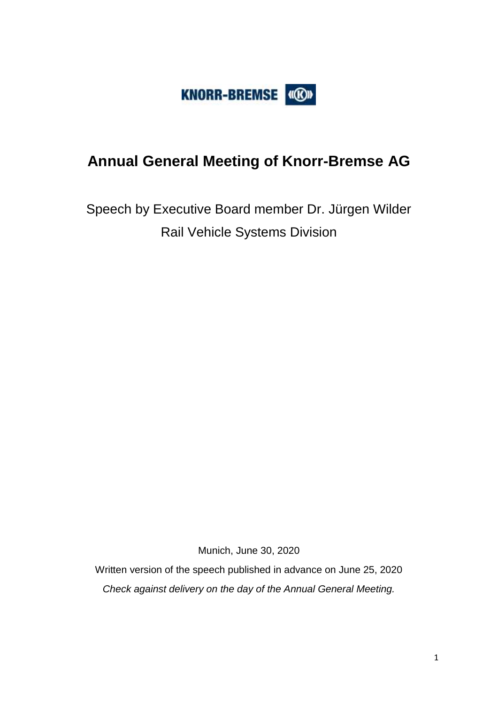

# **Annual General Meeting of Knorr-Bremse AG**

Speech by Executive Board member Dr. Jürgen Wilder Rail Vehicle Systems Division

Munich, June 30, 2020

Written version of the speech published in advance on June 25, 2020 *Check against delivery on the day of the Annual General Meeting.*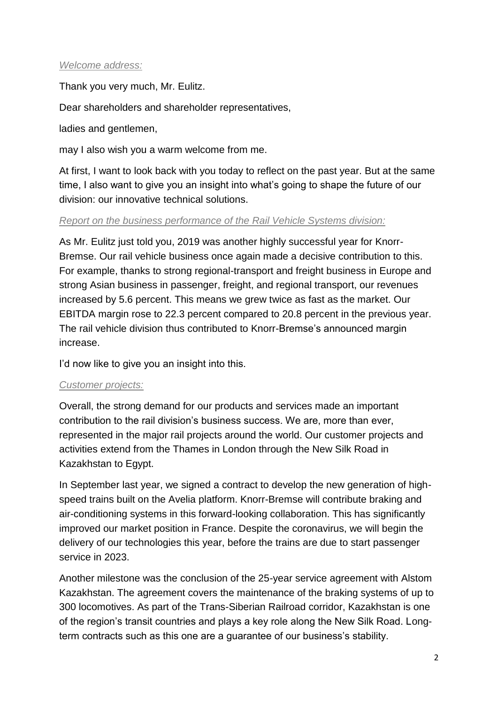#### *Welcome address:*

Thank you very much, Mr. Eulitz.

Dear shareholders and shareholder representatives,

ladies and gentlemen,

may I also wish you a warm welcome from me.

At first, I want to look back with you today to reflect on the past year. But at the same time, I also want to give you an insight into what's going to shape the future of our division: our innovative technical solutions.

#### *Report on the business performance of the Rail Vehicle Systems division:*

As Mr. Eulitz just told you, 2019 was another highly successful year for Knorr-Bremse. Our rail vehicle business once again made a decisive contribution to this. For example, thanks to strong regional-transport and freight business in Europe and strong Asian business in passenger, freight, and regional transport, our revenues increased by 5.6 percent. This means we grew twice as fast as the market. Our EBITDA margin rose to 22.3 percent compared to 20.8 percent in the previous year. The rail vehicle division thus contributed to Knorr-Bremse's announced margin increase.

I'd now like to give you an insight into this.

#### *Customer projects:*

Overall, the strong demand for our products and services made an important contribution to the rail division's business success. We are, more than ever, represented in the major rail projects around the world. Our customer projects and activities extend from the Thames in London through the New Silk Road in Kazakhstan to Egypt.

In September last year, we signed a contract to develop the new generation of highspeed trains built on the Avelia platform. Knorr-Bremse will contribute braking and air-conditioning systems in this forward-looking collaboration. This has significantly improved our market position in France. Despite the coronavirus, we will begin the delivery of our technologies this year, before the trains are due to start passenger service in 2023.

Another milestone was the conclusion of the 25-year service agreement with Alstom Kazakhstan. The agreement covers the maintenance of the braking systems of up to 300 locomotives. As part of the Trans-Siberian Railroad corridor, Kazakhstan is one of the region's transit countries and plays a key role along the New Silk Road. Longterm contracts such as this one are a guarantee of our business's stability.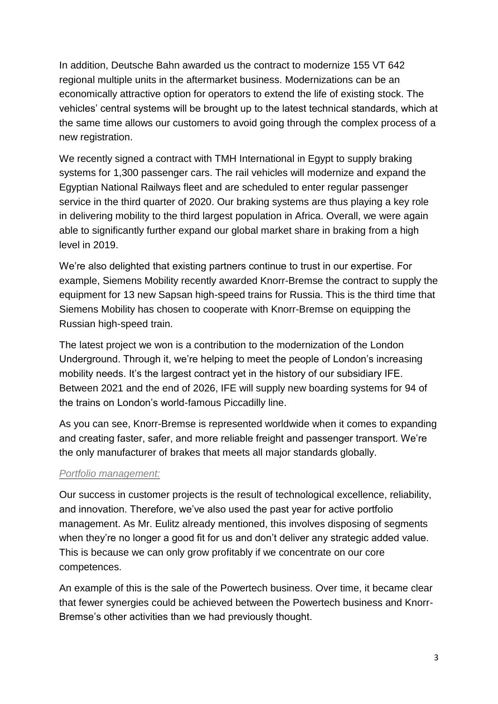In addition, Deutsche Bahn awarded us the contract to modernize 155 VT 642 regional multiple units in the aftermarket business. Modernizations can be an economically attractive option for operators to extend the life of existing stock. The vehicles' central systems will be brought up to the latest technical standards, which at the same time allows our customers to avoid going through the complex process of a new registration.

We recently signed a contract with TMH International in Egypt to supply braking systems for 1,300 passenger cars. The rail vehicles will modernize and expand the Egyptian National Railways fleet and are scheduled to enter regular passenger service in the third quarter of 2020. Our braking systems are thus playing a key role in delivering mobility to the third largest population in Africa. Overall, we were again able to significantly further expand our global market share in braking from a high level in 2019.

We're also delighted that existing partners continue to trust in our expertise. For example, Siemens Mobility recently awarded Knorr-Bremse the contract to supply the equipment for 13 new Sapsan high-speed trains for Russia. This is the third time that Siemens Mobility has chosen to cooperate with Knorr-Bremse on equipping the Russian high-speed train.

The latest project we won is a contribution to the modernization of the London Underground. Through it, we're helping to meet the people of London's increasing mobility needs. It's the largest contract yet in the history of our subsidiary IFE. Between 2021 and the end of 2026, IFE will supply new boarding systems for 94 of the trains on London's world-famous Piccadilly line.

As you can see, Knorr-Bremse is represented worldwide when it comes to expanding and creating faster, safer, and more reliable freight and passenger transport. We're the only manufacturer of brakes that meets all major standards globally.

#### *Portfolio management:*

Our success in customer projects is the result of technological excellence, reliability, and innovation. Therefore, we've also used the past year for active portfolio management. As Mr. Eulitz already mentioned, this involves disposing of segments when they're no longer a good fit for us and don't deliver any strategic added value. This is because we can only grow profitably if we concentrate on our core competences.

An example of this is the sale of the Powertech business. Over time, it became clear that fewer synergies could be achieved between the Powertech business and Knorr-Bremse's other activities than we had previously thought.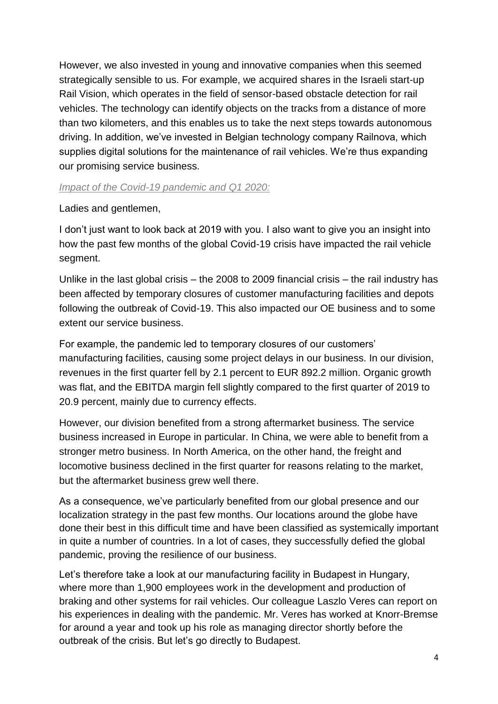However, we also invested in young and innovative companies when this seemed strategically sensible to us. For example, we acquired shares in the Israeli start-up Rail Vision, which operates in the field of sensor-based obstacle detection for rail vehicles. The technology can identify objects on the tracks from a distance of more than two kilometers, and this enables us to take the next steps towards autonomous driving. In addition, we've invested in Belgian technology company Railnova, which supplies digital solutions for the maintenance of rail vehicles. We're thus expanding our promising service business.

#### *Impact of the Covid-19 pandemic and Q1 2020:*

#### Ladies and gentlemen,

I don't just want to look back at 2019 with you. I also want to give you an insight into how the past few months of the global Covid-19 crisis have impacted the rail vehicle segment.

Unlike in the last global crisis – the 2008 to 2009 financial crisis – the rail industry has been affected by temporary closures of customer manufacturing facilities and depots following the outbreak of Covid-19. This also impacted our OE business and to some extent our service business.

For example, the pandemic led to temporary closures of our customers' manufacturing facilities, causing some project delays in our business. In our division, revenues in the first quarter fell by 2.1 percent to EUR 892.2 million. Organic growth was flat, and the EBITDA margin fell slightly compared to the first quarter of 2019 to 20.9 percent, mainly due to currency effects.

However, our division benefited from a strong aftermarket business. The service business increased in Europe in particular. In China, we were able to benefit from a stronger metro business. In North America, on the other hand, the freight and locomotive business declined in the first quarter for reasons relating to the market, but the aftermarket business grew well there.

As a consequence, we've particularly benefited from our global presence and our localization strategy in the past few months. Our locations around the globe have done their best in this difficult time and have been classified as systemically important in quite a number of countries. In a lot of cases, they successfully defied the global pandemic, proving the resilience of our business.

Let's therefore take a look at our manufacturing facility in Budapest in Hungary, where more than 1,900 employees work in the development and production of braking and other systems for rail vehicles. Our colleague Laszlo Veres can report on his experiences in dealing with the pandemic. Mr. Veres has worked at Knorr-Bremse for around a year and took up his role as managing director shortly before the outbreak of the crisis. But let's go directly to Budapest.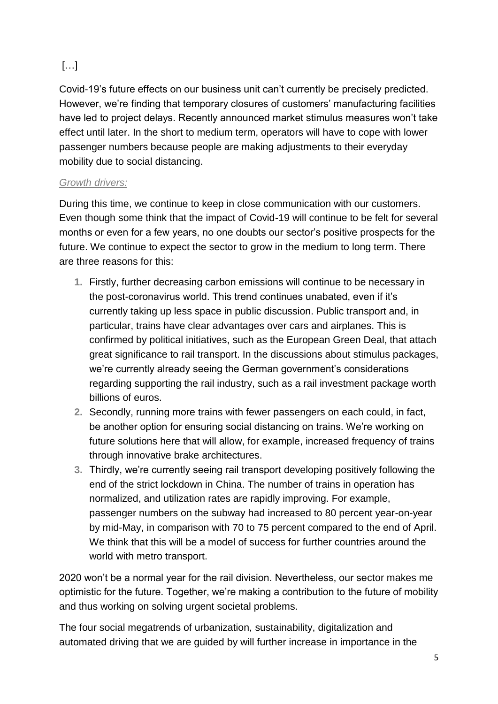## […]

Covid-19's future effects on our business unit can't currently be precisely predicted. However, we're finding that temporary closures of customers' manufacturing facilities have led to project delays. Recently announced market stimulus measures won't take effect until later. In the short to medium term, operators will have to cope with lower passenger numbers because people are making adjustments to their everyday mobility due to social distancing.

### *Growth drivers:*

During this time, we continue to keep in close communication with our customers. Even though some think that the impact of Covid-19 will continue to be felt for several months or even for a few years, no one doubts our sector's positive prospects for the future. We continue to expect the sector to grow in the medium to long term. There are three reasons for this:

- **1.** Firstly, further decreasing carbon emissions will continue to be necessary in the post-coronavirus world. This trend continues unabated, even if it's currently taking up less space in public discussion. Public transport and, in particular, trains have clear advantages over cars and airplanes. This is confirmed by political initiatives, such as the European Green Deal, that attach great significance to rail transport. In the discussions about stimulus packages, we're currently already seeing the German government's considerations regarding supporting the rail industry, such as a rail investment package worth billions of euros.
- **2.** Secondly, running more trains with fewer passengers on each could, in fact, be another option for ensuring social distancing on trains. We're working on future solutions here that will allow, for example, increased frequency of trains through innovative brake architectures.
- **3.** Thirdly, we're currently seeing rail transport developing positively following the end of the strict lockdown in China. The number of trains in operation has normalized, and utilization rates are rapidly improving. For example, passenger numbers on the subway had increased to 80 percent year-on-year by mid-May, in comparison with 70 to 75 percent compared to the end of April. We think that this will be a model of success for further countries around the world with metro transport.

2020 won't be a normal year for the rail division. Nevertheless, our sector makes me optimistic for the future. Together, we're making a contribution to the future of mobility and thus working on solving urgent societal problems.

The four social megatrends of urbanization, sustainability, digitalization and automated driving that we are guided by will further increase in importance in the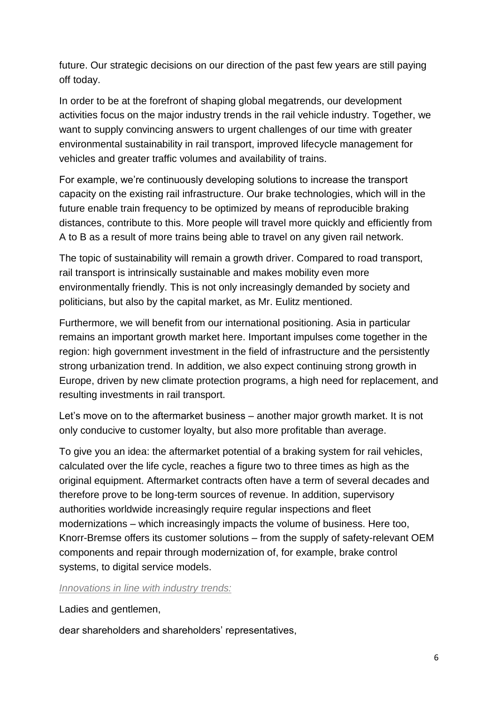future. Our strategic decisions on our direction of the past few years are still paying off today.

In order to be at the forefront of shaping global megatrends, our development activities focus on the major industry trends in the rail vehicle industry. Together, we want to supply convincing answers to urgent challenges of our time with greater environmental sustainability in rail transport, improved lifecycle management for vehicles and greater traffic volumes and availability of trains.

For example, we're continuously developing solutions to increase the transport capacity on the existing rail infrastructure. Our brake technologies, which will in the future enable train frequency to be optimized by means of reproducible braking distances, contribute to this. More people will travel more quickly and efficiently from A to B as a result of more trains being able to travel on any given rail network.

The topic of sustainability will remain a growth driver. Compared to road transport, rail transport is intrinsically sustainable and makes mobility even more environmentally friendly. This is not only increasingly demanded by society and politicians, but also by the capital market, as Mr. Eulitz mentioned.

Furthermore, we will benefit from our international positioning. Asia in particular remains an important growth market here. Important impulses come together in the region: high government investment in the field of infrastructure and the persistently strong urbanization trend. In addition, we also expect continuing strong growth in Europe, driven by new climate protection programs, a high need for replacement, and resulting investments in rail transport.

Let's move on to the aftermarket business – another major growth market. It is not only conducive to customer loyalty, but also more profitable than average.

To give you an idea: the aftermarket potential of a braking system for rail vehicles, calculated over the life cycle, reaches a figure two to three times as high as the original equipment. Aftermarket contracts often have a term of several decades and therefore prove to be long-term sources of revenue. In addition, supervisory authorities worldwide increasingly require regular inspections and fleet modernizations – which increasingly impacts the volume of business. Here too, Knorr-Bremse offers its customer solutions – from the supply of safety-relevant OEM components and repair through modernization of, for example, brake control systems, to digital service models.

#### *Innovations in line with industry trends:*

Ladies and gentlemen.

dear shareholders and shareholders' representatives,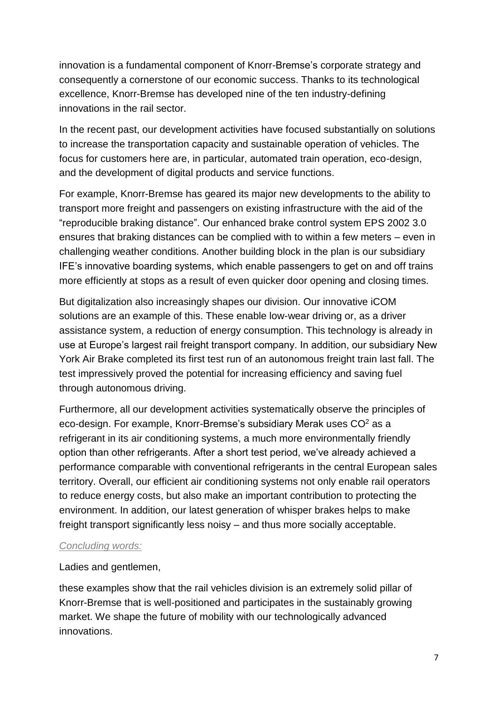innovation is a fundamental component of Knorr-Bremse's corporate strategy and consequently a cornerstone of our economic success. Thanks to its technological excellence, Knorr-Bremse has developed nine of the ten industry-defining innovations in the rail sector.

In the recent past, our development activities have focused substantially on solutions to increase the transportation capacity and sustainable operation of vehicles. The focus for customers here are, in particular, automated train operation, eco-design, and the development of digital products and service functions.

For example, Knorr-Bremse has geared its major new developments to the ability to transport more freight and passengers on existing infrastructure with the aid of the "reproducible braking distance". Our enhanced brake control system EPS 2002 3.0 ensures that braking distances can be complied with to within a few meters – even in challenging weather conditions. Another building block in the plan is our subsidiary IFE's innovative boarding systems, which enable passengers to get on and off trains more efficiently at stops as a result of even quicker door opening and closing times.

But digitalization also increasingly shapes our division. Our innovative iCOM solutions are an example of this. These enable low-wear driving or, as a driver assistance system, a reduction of energy consumption. This technology is already in use at Europe's largest rail freight transport company. In addition, our subsidiary New York Air Brake completed its first test run of an autonomous freight train last fall. The test impressively proved the potential for increasing efficiency and saving fuel through autonomous driving.

Furthermore, all our development activities systematically observe the principles of eco-design. For example, Knorr-Bremse's subsidiary Merak uses CO<sup>2</sup> as a refrigerant in its air conditioning systems, a much more environmentally friendly option than other refrigerants. After a short test period, we've already achieved a performance comparable with conventional refrigerants in the central European sales territory. Overall, our efficient air conditioning systems not only enable rail operators to reduce energy costs, but also make an important contribution to protecting the environment. In addition, our latest generation of whisper brakes helps to make freight transport significantly less noisy – and thus more socially acceptable.

#### *Concluding words:*

Ladies and gentlemen,

these examples show that the rail vehicles division is an extremely solid pillar of Knorr-Bremse that is well-positioned and participates in the sustainably growing market. We shape the future of mobility with our technologically advanced innovations.